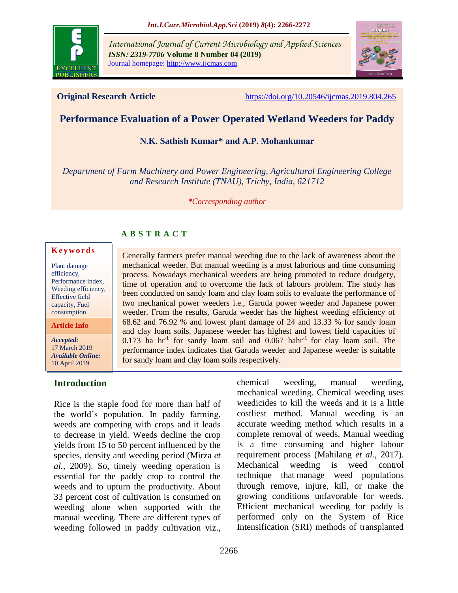

*International Journal of Current Microbiology and Applied Sciences ISSN: 2319-7706* **Volume 8 Number 04 (2019)**  Journal homepage: http://www.ijcmas.com



**Original Research Article** <https://doi.org/10.20546/ijcmas.2019.804.265>

# **Performance Evaluation of a Power Operated Wetland Weeders for Paddy**

#### **N.K. Sathish Kumar\* and A.P. Mohankumar**

*Department of Farm Machinery and Power Engineering, Agricultural Engineering College and Research Institute (TNAU), Trichy, India, 621712*

*\*Corresponding author*

## **A B S T R A C T**

#### **K e y w o r d s**

Plant damage efficiency, Performance index, Weeding efficiency, Effective field capacity, Fuel consumption

**Article Info**

*Accepted:*  17 March 2019 *Available Online:* 10 April 2019

## **Introduction**

Rice is the staple food for more than half of the world's population. In paddy farming, weeds are competing with crops and it leads to decrease in yield. Weeds decline the crop yields from 15 to 50 percent influenced by the species, density and weeding period (Mirza *et al.,* 2009). So, timely weeding operation is essential for the paddy crop to control the weeds and to upturn the productivity. About 33 percent cost of cultivation is consumed on weeding alone when supported with the manual weeding. There are different types of weeding followed in paddy cultivation viz.,

Generally farmers prefer manual weeding due to the lack of awareness about the mechanical weeder. But manual weeding is a most laborious and time consuming process. Nowadays mechanical weeders are being promoted to reduce drudgery, time of operation and to overcome the lack of labours problem. The study has been conducted on sandy loam and clay loam soils to evaluate the performance of two mechanical power weeders i.e., Garuda power weeder and Japanese power weeder. From the results, Garuda weeder has the highest weeding efficiency of 68.62 and 76.92 % and lowest plant damage of 24 and 13.33 % for sandy loam and clay loam soils. Japanese weeder has highest and lowest field capacities of  $0.173$  ha hr<sup>-1</sup> for sandy loam soil and  $0.067$  hahr<sup>-1</sup> for clay loam soil. The performance index indicates that Garuda weeder and Japanese weeder is suitable for sandy loam and clay loam soils respectively.

> chemical weeding, manual weeding, mechanical weeding. Chemical weeding uses weedicides to kill the weeds and it is a little costliest method. Manual weeding is an accurate weeding method which results in a complete removal of weeds. Manual weeding is a time consuming and higher labour requirement process (Mahilang *et al.,* 2017). Mechanical weeding is [weed control](https://en.wikipedia.org/wiki/Weed_control)  [technique](https://en.wikipedia.org/wiki/Weed_control) that manage weed populations through remove, injure, kill, or make the growing conditions unfavorable for weeds. Efficient mechanical weeding for paddy is performed only on the System of Rice Intensification (SRI) methods of transplanted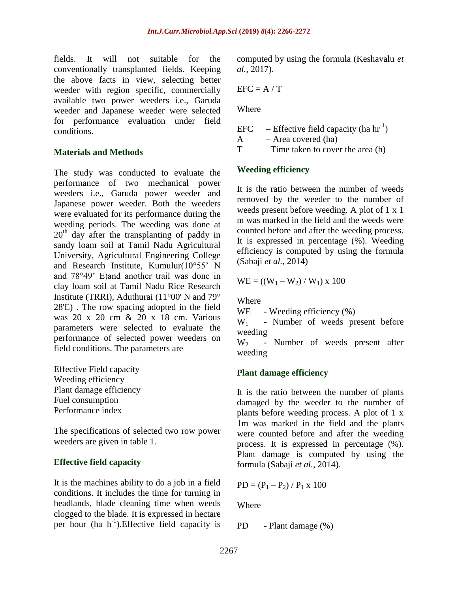fields. It will not suitable for the conventionally transplanted fields. Keeping the above facts in view, selecting better weeder with region specific, commercially available two power weeders i.e., Garuda weeder and Japanese weeder were selected for performance evaluation under field conditions.

#### **Materials and Methods**

The study was conducted to evaluate the performance of two mechanical power weeders i.e., Garuda power weeder and Japanese power weeder. Both the weeders were evaluated for its performance during the weeding periods. The weeding was done at  $20<sup>th</sup>$  day after the transplanting of paddy in sandy loam soil at Tamil Nadu Agricultural University, Agricultural Engineering College and Research Institute, Kumulur(10°55' N and 78°49' E)and another trail was done in clay loam soil at Tamil Nadu Rice Research Institute (TRRI), Aduthurai (11°00' N and 79° 28'E) . The row spacing adopted in the field was 20 x 20 cm & 20 x 18 cm. Various parameters were selected to evaluate the performance of selected power weeders on field conditions. The parameters are

Effective Field capacity Weeding efficiency Plant damage efficiency Fuel consumption Performance index

The specifications of selected two row power weeders are given in table 1.

## **Effective field capacity**

It is the machines ability to do a job in a field conditions. It includes the time for turning in headlands, blade cleaning time when weeds clogged to the blade. It is expressed in hectare per hour (ha h<sup>-1</sup>). Effective field capacity is computed by using the formula (Keshavalu *et al.,* 2017).

$$
EFC = A / T
$$

Where

EFC – Effective field capacity (ha  $\text{hr}^{-1}$ )  $A - Area covered (ha)$ 

 $T -$  Time taken to cover the area (h)

#### **Weeding efficiency**

It is the ratio between the number of weeds removed by the weeder to the number of weeds present before weeding. A plot of 1 x 1 m was marked in the field and the weeds were counted before and after the weeding process. It is expressed in percentage (%). Weeding efficiency is computed by using the formula (Sabaji *et al.,* 2014)

$$
WE = ((W_1 - W_2) / W_1) \times 100
$$

**Where** 

WE - Weeding efficiency  $(\% )$ 

 $W_1$  - Number of weeds present before weeding

W<sub>2</sub> - Number of weeds present after weeding

## **Plant damage efficiency**

It is the ratio between the number of plants damaged by the weeder to the number of plants before weeding process. A plot of 1 x 1m was marked in the field and the plants were counted before and after the weeding process. It is expressed in percentage (%). Plant damage is computed by using the formula (Sabaji *et al.,* 2014).

$$
PD = (P_1 - P_2) / P_1 \times 100
$$

Where

PD - Plant damage (%)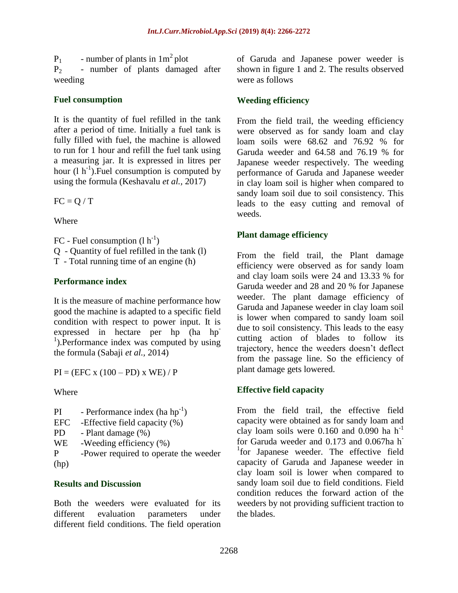$P_1$  - number of plants in  $1m^2$  plot

 $P<sub>2</sub>$  - number of plants damaged after weeding

## **Fuel consumption**

It is the quantity of fuel refilled in the tank after a period of time. Initially a fuel tank is fully filled with fuel, the machine is allowed to run for 1 hour and refill the fuel tank using a measuring jar. It is expressed in litres per hour  $(l h^{-1})$ . Fuel consumption is computed by using the formula (Keshavalu *et al.,* 2017)

 $FC = O / T$ 

Where

FC - Fuel consumption  $(l h^{-1})$ Q - Quantity of fuel refilled in the tank (l) T - Total running time of an engine (h)

## **Performance index**

It is the measure of machine performance how good the machine is adapted to a specific field condition with respect to power input. It is expressed in hectare per hp (ha hp <sup>1</sup>).Performance index was computed by using the formula (Sabaji *et al.,* 2014)

 $PI = (EFC x (100 - PD) x WE) / P$ 

Where

- PI Performance index  $(ha h p^{-1})$
- EFC -Effective field capacity (%)
- PD Plant damage  $(\% )$
- WE -Weeding efficiency  $(\% )$

P -Power required to operate the weeder (hp)

## **Results and Discussion**

Both the weeders were evaluated for its different evaluation parameters under different field conditions. The field operation of Garuda and Japanese power weeder is shown in figure 1 and 2. The results observed were as follows

## **Weeding efficiency**

From the field trail, the weeding efficiency were observed as for sandy loam and clay loam soils were 68.62 and 76.92 % for Garuda weeder and 64.58 and 76.19 % for Japanese weeder respectively. The weeding performance of Garuda and Japanese weeder in clay loam soil is higher when compared to sandy loam soil due to soil consistency. This leads to the easy cutting and removal of weeds.

## **Plant damage efficiency**

From the field trail, the Plant damage efficiency were observed as for sandy loam and clay loam soils were 24 and 13.33 % for Garuda weeder and 28 and 20 % for Japanese weeder. The plant damage efficiency of Garuda and Japanese weeder in clay loam soil is lower when compared to sandy loam soil due to soil consistency. This leads to the easy cutting action of blades to follow its trajectory, hence the weeders doesn't deflect from the passage line. So the efficiency of plant damage gets lowered.

## **Effective field capacity**

From the field trail, the effective field capacity were obtained as for sandy loam and clay loam soils were 0.160 and 0.090 ha  $h^{-1}$ for Garuda weeder and 0.173 and 0.067ha h-<sup>1</sup>for Japanese weeder. The effective field capacity of Garuda and Japanese weeder in clay loam soil is lower when compared to sandy loam soil due to field conditions. Field condition reduces the forward action of the weeders by not providing sufficient traction to the blades.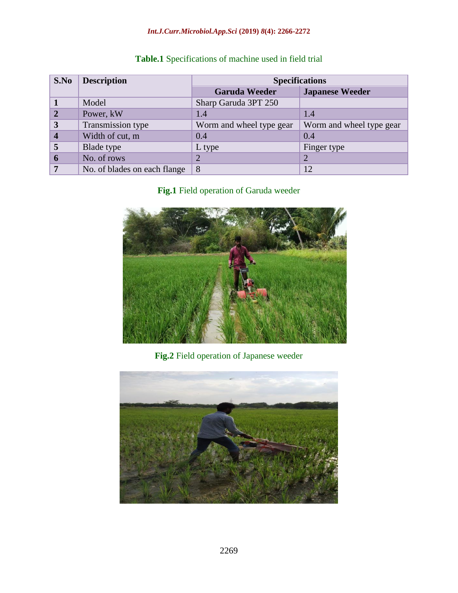## *Int.J.Curr.Microbiol.App.Sci* **(2019)** *8***(4): 2266-2272**

| S.No           | <b>Description</b>           | <b>Specifications</b>    |                          |
|----------------|------------------------------|--------------------------|--------------------------|
|                |                              | <b>Garuda Weeder</b>     | <b>Japanese Weeder</b>   |
|                | Model                        | Sharp Garuda 3PT 250     |                          |
| $\overline{2}$ | Power, kW                    | 1.4                      | 1.4                      |
| 3              | Transmission type            | Worm and wheel type gear | Worm and wheel type gear |
| 4              | Width of cut, m              | 0.4                      | 0.4                      |
| 5              | Blade type                   | L type                   | Finger type              |
| 6              | No. of rows                  | $\overline{2}$           | 2                        |
|                | No. of blades on each flange | 8                        | 12                       |

## **Table.1** Specifications of machine used in field trial

**Fig.1** Field operation of Garuda weeder



# **Fig.2** Field operation of Japanese weeder

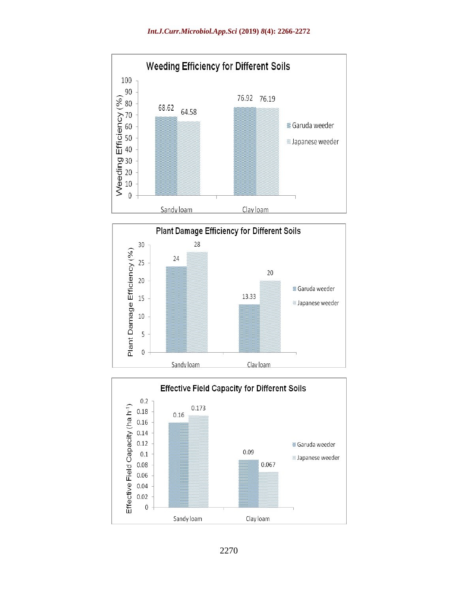



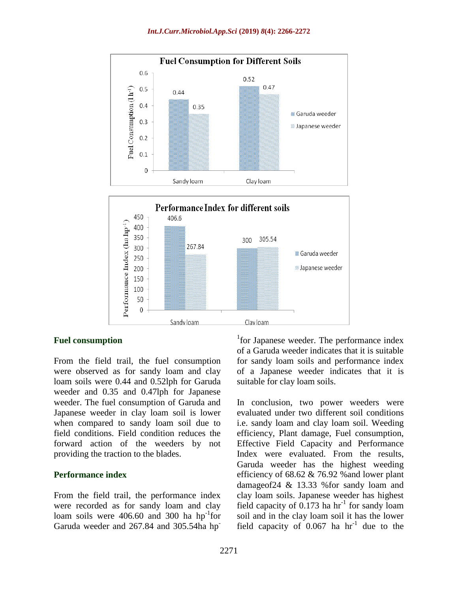



#### **Fuel consumption**

From the field trail, the fuel consumption were observed as for sandy loam and clay loam soils were 0.44 and 0.52lph for Garuda weeder and 0.35 and 0.47lph for Japanese weeder. The fuel consumption of Garuda and Japanese weeder in clay loam soil is lower when compared to sandy loam soil due to field conditions. Field condition reduces the forward action of the weeders by not providing the traction to the blades.

#### **Performance index**

From the field trail, the performance index were recorded as for sandy loam and clay loam soils were  $406.60$  and  $300$  ha hp<sup>-1</sup>for Garuda weeder and 267.84 and 305.54ha hp<sup>-</sup>

<sup>1</sup>for Japanese weeder. The performance index of a Garuda weeder indicates that it is suitable for sandy loam soils and performance index of a Japanese weeder indicates that it is suitable for clay loam soils.

In conclusion, two power weeders were evaluated under two different soil conditions i.e. sandy loam and clay loam soil. Weeding efficiency, Plant damage, Fuel consumption, Effective Field Capacity and Performance Index were evaluated. From the results, Garuda weeder has the highest weeding efficiency of 68.62 & 76.92 %and lower plant damageof24 & 13.33 %for sandy loam and clay loam soils. Japanese weeder has highest field capacity of  $0.173$  ha hr<sup>-1</sup> for sandy loam soil and in the clay loam soil it has the lower field capacity of  $0.067$  ha hr<sup>-1</sup> due to the